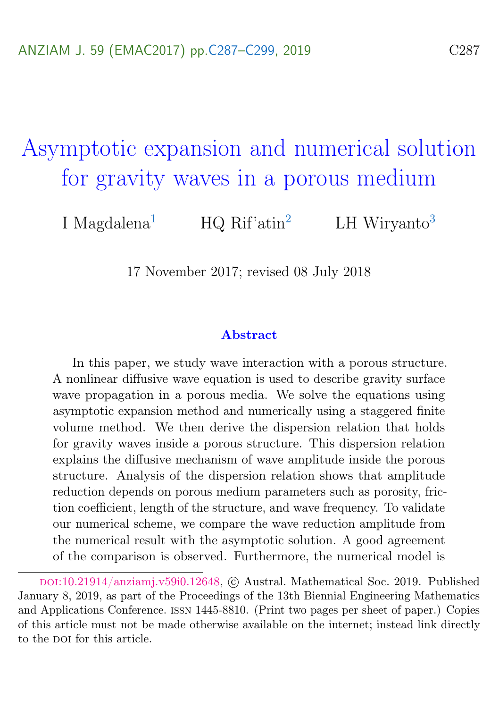# <span id="page-0-0"></span>Asymptotic expansion and numerical solution for gravity waves in a porous medium

I Magdalena<sup>[1](#page-12-0)</sup> HQ Rif'atin<sup>[2](#page-13-1)</sup> LH Wiryanto<sup>[3](#page-13-0)</sup>

17 November 2017; revised 08 July 2018

#### Abstract

In this paper, we study wave interaction with a porous structure. A nonlinear diffusive wave equation is used to describe gravity surface wave propagation in a porous media. We solve the equations using asymptotic expansion method and numerically using a staggered finite volume method. We then derive the dispersion relation that holds for gravity waves inside a porous structure. This dispersion relation explains the diffusive mechanism of wave amplitude inside the porous structure. Analysis of the dispersion relation shows that amplitude reduction depends on porous medium parameters such as porosity, friction coefficient, length of the structure, and wave frequency. To validate our numerical scheme, we compare the wave reduction amplitude from the numerical result with the asymptotic solution. A good agreement of the comparison is observed. Furthermore, the numerical model is

doi:[10.21914/anziamj.v59i0.12648,](https://doi.org/10.21914/anziamj.v59i0.12648) c Austral. Mathematical Soc. 2019. Published January 8, 2019, as part of the Proceedings of the 13th Biennial Engineering Mathematics and Applications Conference. issn 1445-8810. (Print two pages per sheet of paper.) Copies of this article must not be made otherwise available on the internet; instead link directly to the pot for this article.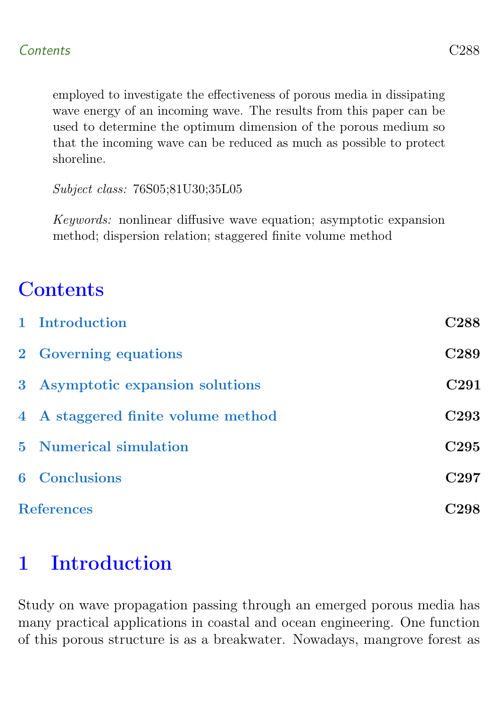<span id="page-1-1"></span>employed to investigate the effectiveness of porous media in dissipating wave energy of an incoming wave. The results from this paper can be used to determine the optimum dimension of the porous medium so that the incoming wave can be reduced as much as possible to protect shoreline.

Subject class: 76S05;81U30;35L05

Keywords: nonlinear diffusive wave equation; asymptotic expansion method; dispersion relation; staggered finite volume method

## **Contents**

|                   | 1 Introduction                     | C <sub>288</sub> |
|-------------------|------------------------------------|------------------|
|                   | 2 Governing equations              | C <sub>289</sub> |
|                   | 3 Asymptotic expansion solutions   | C <sub>291</sub> |
|                   | 4 A staggered finite volume method | C <sub>293</sub> |
|                   | <b>5</b> Numerical simulation      | C <sub>295</sub> |
|                   | <b>6</b> Conclusions               | C297             |
| <b>References</b> |                                    | C298             |

## <span id="page-1-0"></span>1 Introduction

Study on wave propagation passing through an emerged porous media has many practical applications in coastal and ocean engineering. One function of this porous structure is as a breakwater. Nowadays, mangrove forest as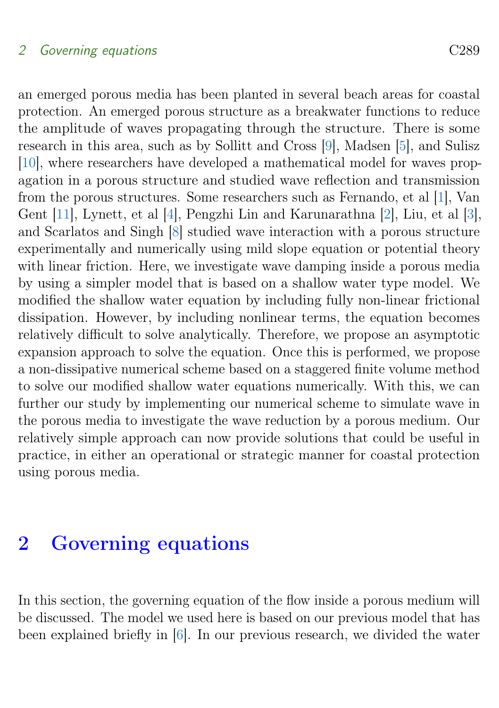#### <span id="page-2-1"></span>2 Governing equations C289

an emerged porous media has been planted in several beach areas for coastal protection. An emerged porous structure as a breakwater functions to reduce the amplitude of waves propagating through the structure. There is some research in this area, such as by Sollitt and Cross [\[9\]](#page-12-1), Madsen [\[5\]](#page-12-2), and Sulisz [\[10\]](#page-12-3), where researchers have developed a mathematical model for waves propagation in a porous structure and studied wave reflection and transmission from the porous structures. Some researchers such as Fernando, et al [\[1\]](#page-11-1), Van Gent [\[11\]](#page-12-4), Lynett, et al [\[4\]](#page-12-5), Pengzhi Lin and Karunarathna [\[2\]](#page-11-2), Liu, et al [\[3\]](#page-11-3), and Scarlatos and Singh [\[8\]](#page-12-6) studied wave interaction with a porous structure experimentally and numerically using mild slope equation or potential theory with linear friction. Here, we investigate wave damping inside a porous media by using a simpler model that is based on a shallow water type model. We modified the shallow water equation by including fully non-linear frictional dissipation. However, by including nonlinear terms, the equation becomes relatively difficult to solve analytically. Therefore, we propose an asymptotic expansion approach to solve the equation. Once this is performed, we propose a non-dissipative numerical scheme based on a staggered finite volume method to solve our modified shallow water equations numerically. With this, we can further our study by implementing our numerical scheme to simulate wave in the porous media to investigate the wave reduction by a porous medium. Our relatively simple approach can now provide solutions that could be useful in practice, in either an operational or strategic manner for coastal protection using porous media.

## <span id="page-2-0"></span>2 Governing equations

In this section, the governing equation of the flow inside a porous medium will be discussed. The model we used here is based on our previous model that has been explained briefly in [\[6\]](#page-12-7). In our previous research, we divided the water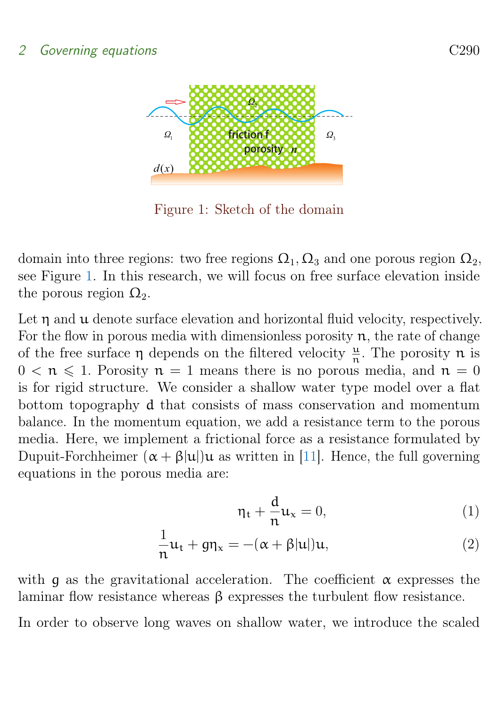<span id="page-3-1"></span>

<span id="page-3-0"></span>Figure 1: Sketch of the domain

domain into three regions: two free regions  $\Omega_1, \Omega_3$  and one porous region  $\Omega_2$ , see Figure [1.](#page-3-0) In this research, we will focus on free surface elevation inside the porous region  $\Omega_2$ .

Let  $\eta$  and  $\mu$  denote surface elevation and horizontal fluid velocity, respectively. For the flow in porous media with dimensionless porosity  $n$ , the rate of change of the free surface  $\eta$  depends on the filtered velocity  $\frac{\mu}{n}$ . The porosity  $n$  is  $0 \le n \le 1$ . Porosity  $n = 1$  means there is no porous media, and  $n = 0$ is for rigid structure. We consider a shallow water type model over a flat bottom topography d that consists of mass conservation and momentum balance. In the momentum equation, we add a resistance term to the porous media. Here, we implement a frictional force as a resistance formulated by Dupuit-Forchheimer  $(\alpha + \beta |u|)u$  as written in [\[11\]](#page-12-4). Hence, the full governing equations in the porous media are:

$$
\eta_t + \frac{d}{n} u_x = 0,\t\t(1)
$$

$$
\frac{1}{n}u_t + g\eta_x = -(\alpha + \beta |u|)u,
$$
\n(2)

with q as the gravitational acceleration. The coefficient  $\alpha$  expresses the laminar flow resistance whereas β expresses the turbulent flow resistance.

In order to observe long waves on shallow water, we introduce the scaled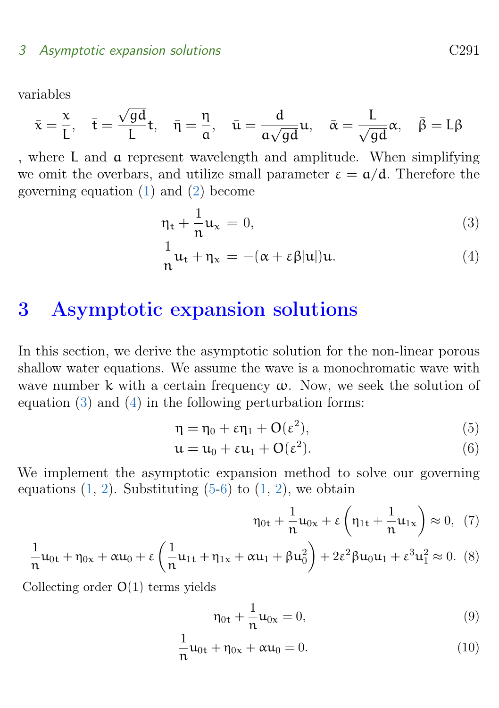variables

$$
\bar{x} = \frac{x}{L}, \quad \bar{t} = \frac{\sqrt{gd}}{L}t, \quad \bar{\eta} = \frac{\eta}{\alpha}, \quad \bar{u} = \frac{d}{a\sqrt{gd}}u, \quad \bar{\alpha} = \frac{L}{\sqrt{gd}}\alpha, \quad \bar{\beta} = L\beta
$$

, where L and a represent wavelength and amplitude. When simplifying we omit the overbars, and utilize small parameter  $\varepsilon = \alpha/d$ . Therefore the governing equation [\(1\)](#page-3-0) and [\(2\)](#page-3-0) become

$$
\eta_t + \frac{1}{n} u_x = 0,\t\t(3)
$$

$$
\frac{1}{n}u_t + \eta_x = -(\alpha + \varepsilon \beta |u|)u.
$$
 (4)

## <span id="page-4-0"></span>3 Asymptotic expansion solutions

In this section, we derive the asymptotic solution for the non-linear porous shallow water equations. We assume the wave is a monochromatic wave with wave number k with a certain frequency  $\omega$ . Now, we seek the solution of equation [\(3\)](#page-3-0) and [\(4\)](#page-3-0) in the following perturbation forms:

$$
\eta = \eta_0 + \varepsilon \eta_1 + O(\varepsilon^2),\tag{5}
$$

$$
\mathfrak{u} = \mathfrak{u}_0 + \varepsilon \mathfrak{u}_1 + \mathcal{O}(\varepsilon^2). \tag{6}
$$

We implement the asymptotic expansion method to solve our governing equations  $(1, 2)$  $(1, 2)$  $(1, 2)$ . Substituting  $(5-6)$  to  $(1, 2)$ , we obtain

$$
\eta_{0t} + \frac{1}{n}u_{0x} + \varepsilon \left(\eta_{1t} + \frac{1}{n}u_{1x}\right) \approx 0, (7)
$$

$$
\frac{1}{n}u_{0t} + \eta_{0x} + \alpha u_0 + \varepsilon \left(\frac{1}{n}u_{1t} + \eta_{1x} + \alpha u_1 + \beta u_0^2\right) + 2\varepsilon^2 \beta u_0 u_1 + \varepsilon^3 u_1^2 \approx 0. \tag{8}
$$

Collecting order O(1) terms yields

$$
\eta_{0t} + \frac{1}{n} u_{0x} = 0,\t\t(9)
$$

$$
\frac{1}{n}u_{0t} + \eta_{0x} + \alpha u_0 = 0.
$$
 (10)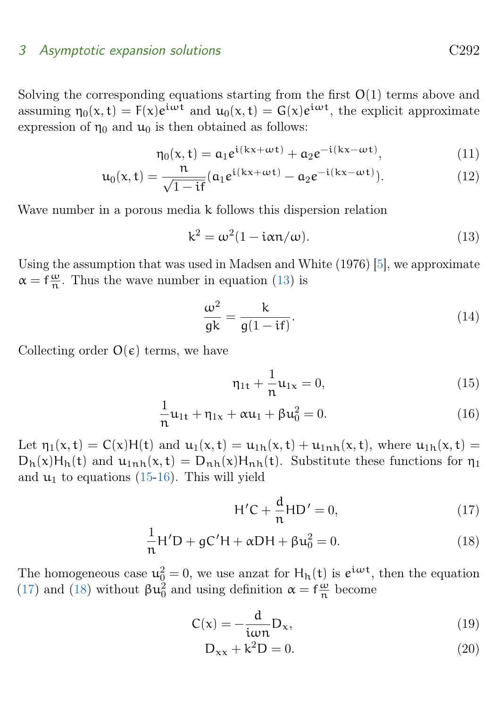#### <span id="page-5-2"></span>3 Asymptotic expansion solutions C292

Solving the corresponding equations starting from the first  $O(1)$  terms above and assuming  $\eta_0(x, t) = F(x)e^{i\omega t}$  and  $u_0(x, t) = G(x)e^{i\omega t}$ , the explicit approximate expression of  $\eta_0$  and  $\mu_0$  is then obtained as follows:

$$
\eta_0(x,t) = a_1 e^{i(kx + \omega t)} + a_2 e^{-i(kx - \omega t)},
$$
\n(11)

$$
u_0(x,t) = \frac{n}{\sqrt{1-it}} (a_1 e^{i(kx+\omega t)} - a_2 e^{-i(kx-\omega t)}).
$$
 (12)

Wave number in a porous media k follows this dispersion relation

<span id="page-5-0"></span>
$$
k^2 = \omega^2 (1 - i\alpha n/\omega). \tag{13}
$$

Using the assumption that was used in Madsen and White (1976) [\[5\]](#page-12-2), we approximate  $\alpha = f \frac{\omega}{n}$  $\frac{\omega}{n}$ . Thus the wave number in equation [\(13\)](#page-5-0) is

<span id="page-5-1"></span>
$$
\frac{\omega^2}{gk} = \frac{k}{g(1 - \mathrm{i}f)}.\tag{14}
$$

Collecting order  $O(\epsilon)$  terms, we have

1

$$
\eta_{1t} + \frac{1}{n} u_{1x} = 0, \tag{15}
$$

$$
\frac{1}{n}\mathfrak{u}_{1t} + \eta_{1x} + \alpha \mathfrak{u}_1 + \beta \mathfrak{u}_0^2 = 0.
$$
 (16)

Let  $\eta_1(x,t) = C(x)H(t)$  and  $u_1(x,t) = u_{1h}(x,t) + u_{1h}(x,t)$ , where  $u_{1h}(x,t) =$  $D_h(x)H_h(t)$  and  $u_{1nh}(x,t) = D_{nh}(x)H_{nh}(t)$ . Substitute these functions for  $\eta_1$ and  $u_1$  to equations [\(15-16\)](#page-5-1). This will yield

$$
H'C + \frac{d}{n}HD' = 0,
$$
\n(17)

$$
\frac{1}{n}H'D + gC'H + \alpha DH + \beta u_0^2 = 0.
$$
 (18)

The homogeneous case  $u_0^2 = 0$ , we use anzat for  $H_h(t)$  is  $e^{i\omega t}$ , then the equation [\(17\)](#page-5-1) and [\(18\)](#page-5-1) without  $\beta u_0^2$  and using definition  $\alpha = f \frac{\omega}{n}$  $\frac{\omega}{n}$  become

$$
C(x) = -\frac{d}{i\omega n}D_x,\tag{19}
$$

$$
D_{xx} + k^2 D = 0.
$$
 (20)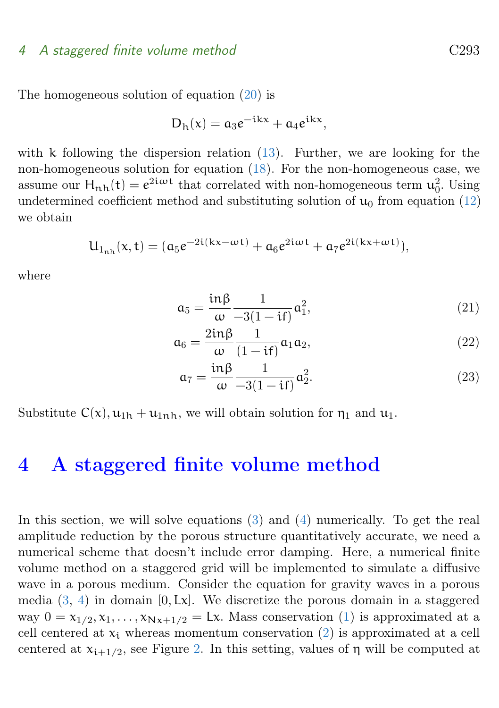#### 4 A staggered finite volume method C293

The homogeneous solution of equation [\(20\)](#page-5-1) is

$$
D_h(x) = a_3 e^{-ikx} + a_4 e^{ikx},
$$

with k following the dispersion relation  $(13)$ . Further, we are looking for the non-homogeneous solution for equation [\(18\)](#page-5-1). For the non-homogeneous case, we assume our  $H_{n,h}(t) = e^{2i\omega t}$  that correlated with non-homogeneous term  $u_0^2$ . Using undetermined coefficient method and substituting solution of  $u_0$  from equation [\(12\)](#page-4-0) we obtain

$$
U_{1_{n h}}(x,t)=(\alpha_5 e^{-2i(kx-\omega t)}+\alpha_6 e^{2i\omega t}+\alpha_7 e^{2i(kx+\omega t)}),
$$

where

$$
a_5 = \frac{\mathrm{in}\beta}{\omega} \frac{1}{-3(1-\mathrm{i}t)} a_1^2,\tag{21}
$$

$$
\mathfrak{a}_6 = \frac{2\mathrm{in}\beta}{\omega} \frac{1}{(1-\mathrm{i}\mathrm{f})} \mathfrak{a}_1 \mathfrak{a}_2,\tag{22}
$$

$$
\mathfrak{a}_7 = \frac{\mathrm{in}\beta}{\omega} \frac{1}{-3(1-\mathrm{if})} \mathfrak{a}_2^2. \tag{23}
$$

Substitute  $C(x)$ ,  $u_{1h} + u_{1nh}$ , we will obtain solution for  $\eta_1$  and  $u_1$ .

## <span id="page-6-0"></span>4 A staggered finite volume method

In this section, we will solve equations [\(3\)](#page-3-0) and [\(4\)](#page-3-0) numerically. To get the real amplitude reduction by the porous structure quantitatively accurate, we need a numerical scheme that doesn't include error damping. Here, a numerical finite volume method on a staggered grid will be implemented to simulate a diffusive wave in a porous medium. Consider the equation for gravity waves in a porous media  $(3, 4)$  $(3, 4)$  $(3, 4)$  in domain  $[0, Lx]$ . We discretize the porous domain in a staggered way  $0 = x_{1/2}, x_1, \ldots, x_{Nx+1/2} = Lx$ . Mass conservation [\(1\)](#page-3-0) is approximated at a cell centered at  $x_i$  whereas momentum conservation [\(2\)](#page-3-0) is approximated at a cell centered at  $x_{i+1/2}$ , see Figure [2.](#page-7-0) In this setting, values of  $\eta$  will be computed at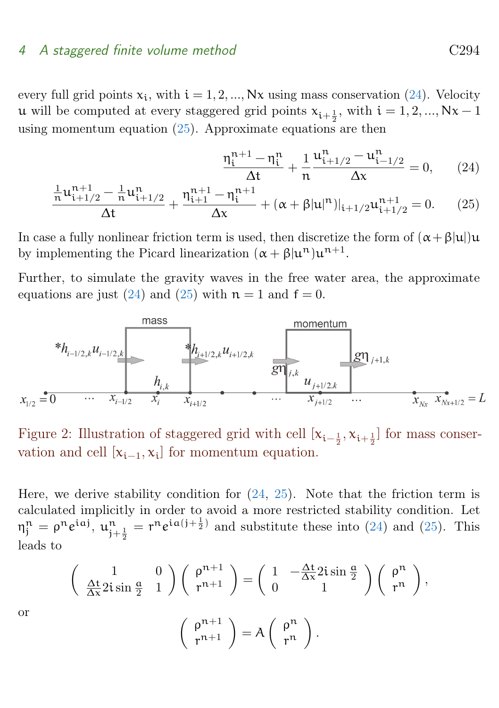#### <span id="page-7-1"></span>4 A staggered finite volume method C294

every full grid points  $x_i$ , with  $i = 1, 2, ..., Nx$  using mass conservation [\(24\)](#page-6-0). Velocity **u** will be computed at every staggered grid points  $x_{i+\frac{1}{2}}$ , with  $i = 1, 2, ..., Nx - 1$ using momentum equation [\(25\)](#page-6-0). Approximate equations are then

$$
\frac{\eta_i^{n+1} - \eta_i^n}{\Delta t} + \frac{1}{n} \frac{\mu_{i+1/2}^n - \mu_{i-1/2}^n}{\Delta x} = 0, \qquad (24)
$$

$$
\frac{\frac{1}{n}\mathfrak{u}_{i+1/2}^{n+1} - \frac{1}{n}\mathfrak{u}_{i+1/2}^{n}}{\Delta t} + \frac{\eta_{i+1}^{n+1} - \eta_i^{n+1}}{\Delta x} + (\alpha + \beta |\mathfrak{u}|^n)|_{i+1/2}\mathfrak{u}_{i+1/2}^{n+1} = 0. \tag{25}
$$

In case a fully nonlinear friction term is used, then discretize the form of  $(\alpha + \beta |u|)u$ by implementing the Picard linearization  $(\alpha + \beta |u^n)u^{n+1}$ .

Further, to simulate the gravity waves in the free water area, the approximate equations are just [\(24\)](#page-6-0) and [\(25\)](#page-6-0) with  $n = 1$  and  $f = 0$ .



<span id="page-7-0"></span>Figure 2: Illustration of staggered grid with cell  $[x_{i-\frac{1}{2}}, x_{i+\frac{1}{2}}]$  for mass conservation and cell  $[x_{i-1}, x_i]$  for momentum equation.

Here, we derive stability condition for  $(24, 25)$  $(24, 25)$  $(24, 25)$ . Note that the friction term is calculated implicitly in order to avoid a more restricted stability condition. Let  $\eta_i^n = \rho^n e^{iaj}, \overline{u_{j+\frac{1}{2}}^n} = r^n e^{ia(j+\frac{1}{2})}$  and substitute these into [\(24\)](#page-6-0) and [\(25\)](#page-6-0). This leads to

$$
\begin{pmatrix}\n1 & 0 \\
\frac{\Delta t}{\Delta x} 2i \sin \frac{a}{2} & 1\n\end{pmatrix}\n\begin{pmatrix}\n\rho^{n+1} \\
r^{n+1}\n\end{pmatrix} =\n\begin{pmatrix}\n1 & -\frac{\Delta t}{\Delta x} 2i \sin \frac{a}{2} \\
0 & 1\n\end{pmatrix}\n\begin{pmatrix}\n\rho^n \\
r^n\n\end{pmatrix},
$$
\n
$$
\begin{pmatrix}\n\rho^{n+1} \\
r^{n+1}\n\end{pmatrix} = A \begin{pmatrix}\n\rho^n \\
r^n\n\end{pmatrix}.
$$

or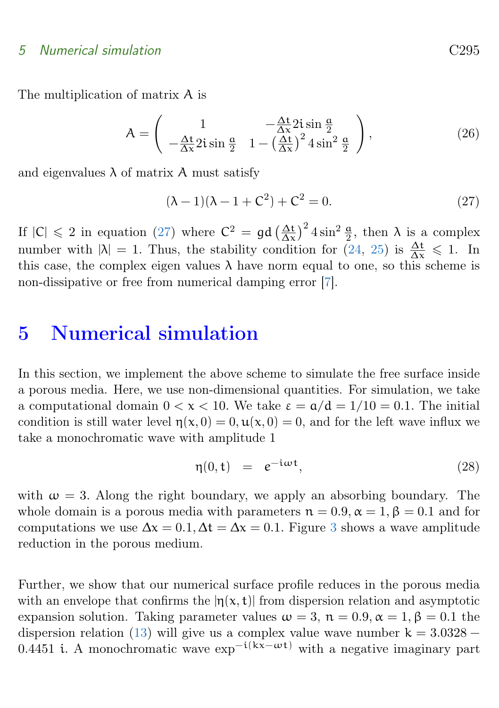#### 5 Numerical simulation C295

The multiplication of matrix A is

$$
A = \begin{pmatrix} 1 & -\frac{\Delta t}{\Delta x} 2i \sin \frac{\alpha}{2} \\ -\frac{\Delta t}{\Delta x} 2i \sin \frac{\alpha}{2} & 1 - \left(\frac{\Delta t}{\Delta x}\right)^2 4 \sin^2 \frac{\alpha}{2} \end{pmatrix},
$$
(26)

and eigenvalues  $\lambda$  of matrix A must satisfy

<span id="page-8-1"></span>
$$
(\lambda - 1)(\lambda - 1 + C^2) + C^2 = 0.
$$
 (27)

If  $|C| \leq 2$  in equation [\(27\)](#page-8-1) where  $C^2 = \mathfrak{gd} \left(\frac{\Delta t}{\Delta x}\right)^2 4 \sin^2 \frac{\mathfrak{a}}{2}$ , then  $\lambda$  is a complex number with  $|\lambda| = 1$ . Thus, the stability condition for  $(24, 25)$  $(24, 25)$  $(24, 25)$  is  $\frac{\Delta t}{\Delta x} \leq 1$ . In this case, the complex eigen values  $\lambda$  have norm equal to one, so this scheme is non-dissipative or free from numerical damping error [\[7\]](#page-12-8).

## <span id="page-8-0"></span>5 Numerical simulation

In this section, we implement the above scheme to simulate the free surface inside a porous media. Here, we use non-dimensional quantities. For simulation, we take a computational domain  $0 < x < 10$ . We take  $\varepsilon = \frac{\alpha}{d} = \frac{1}{10} = 0.1$ . The initial condition is still water level  $\eta(x, 0) = 0, \mathbf{u}(x, 0) = 0$ , and for the left wave influx we take a monochromatic wave with amplitude 1

$$
\eta(0, t) = e^{-i\omega t}, \qquad (28)
$$

with  $\omega = 3$ . Along the right boundary, we apply an absorbing boundary. The whole domain is a porous media with parameters  $n = 0.9$ ,  $\alpha = 1$ ,  $\beta = 0.1$  and for computations we use  $\Delta x = 0.1$ ,  $\Delta t = \Delta x = 0.1$ . Figure [3](#page-9-1) shows a wave amplitude reduction in the porous medium.

Further, we show that our numerical surface profile reduces in the porous media with an envelope that confirms the  $|n(x, t)|$  from dispersion relation and asymptotic expansion solution. Taking parameter values  $\omega = 3$ ,  $\mathfrak{n} = 0.9$ ,  $\alpha = 1$ ,  $\beta = 0.1$  the dispersion relation [\(13\)](#page-5-0) will give us a complex value wave number  $k = 3.0328 -$ 0.4451 i. A monochromatic wave  $\exp^{-i(kx-\omega t)}$  with a negative imaginary part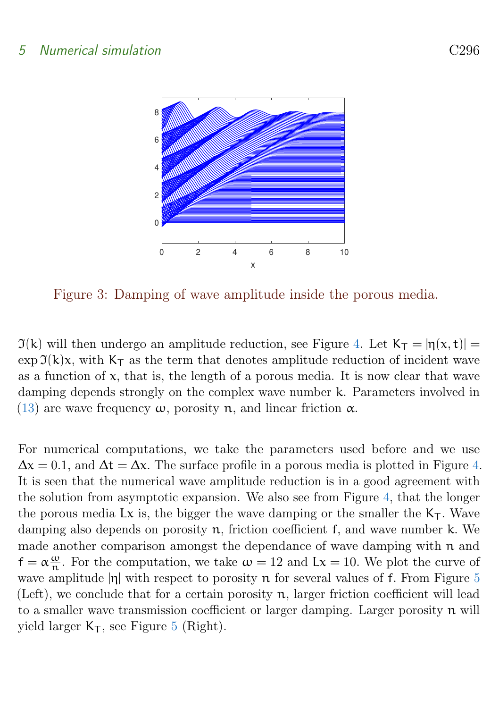

<span id="page-9-1"></span>Figure 3: Damping of wave amplitude inside the porous media.

 $\mathfrak{I}(k)$  will then undergo an amplitude reduction, see Figure [4.](#page-10-0) Let  $K_T = |\eta(x, t)| =$  $\exp \mathfrak{I}(k)x$ , with  $K_T$  as the term that denotes amplitude reduction of incident wave as a function of  $x$ , that is, the length of a porous media. It is now clear that wave damping depends strongly on the complex wave number k. Parameters involved in [\(13\)](#page-5-0) are wave frequency  $\omega$ , porosity n, and linear friction  $\alpha$ .

<span id="page-9-0"></span>For numerical computations, we take the parameters used before and we use  $\Delta x = 0.1$ , and  $\Delta t = \Delta x$ . The surface profile in a porous media is plotted in Figure [4.](#page-10-0) It is seen that the numerical wave amplitude reduction is in a good agreement with the solution from asymptotic expansion. We also see from Figure [4,](#page-10-0) that the longer the porous media Lx is, the bigger the wave damping or the smaller the  $K<sub>T</sub>$ . Wave damping also depends on porosity  $n$ , friction coefficient f, and wave number k. We made another comparison amongst the dependance of wave damping with  $n$  and  $f = \alpha \frac{\omega}{n}$  $\frac{\omega}{n}$ . For the computation, we take  $\omega = 12$  and  $Lx = 10$ . We plot the curve of wave amplitude  $|\eta|$  with respect to porosity n for several values of f. From Figure [5](#page-10-1) (Left), we conclude that for a certain porosity n, larger friction coefficient will lead to a smaller wave transmission coefficient or larger damping. Larger porosity  $n$  will yield larger  $K_T$ , see Figure [5](#page-10-1) (Right).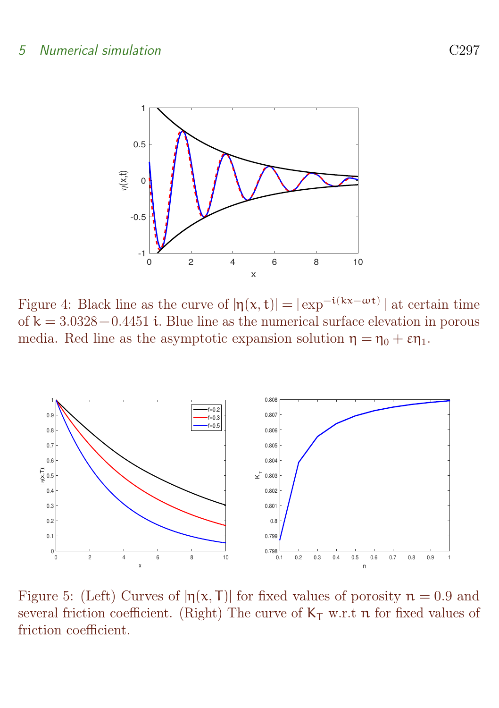

<span id="page-10-0"></span>Figure 4: Black line as the curve of  $|\eta(x,t)| = |\exp^{-i(kx-\omega t)}|$  at certain time of  $k = 3.0328 - 0.4451$  i. Blue line as the numerical surface elevation in porous media. Red line as the asymptotic expansion solution  $\eta = \eta_0 + \varepsilon \eta_1$ .



<span id="page-10-1"></span>Figure 5: (Left) Curves of  $|\eta(x, T)|$  for fixed values of porosity  $n = 0.9$  and several friction coefficient. (Right) The curve of  $K<sub>T</sub>$  w.r.t n for fixed values of friction coefficient.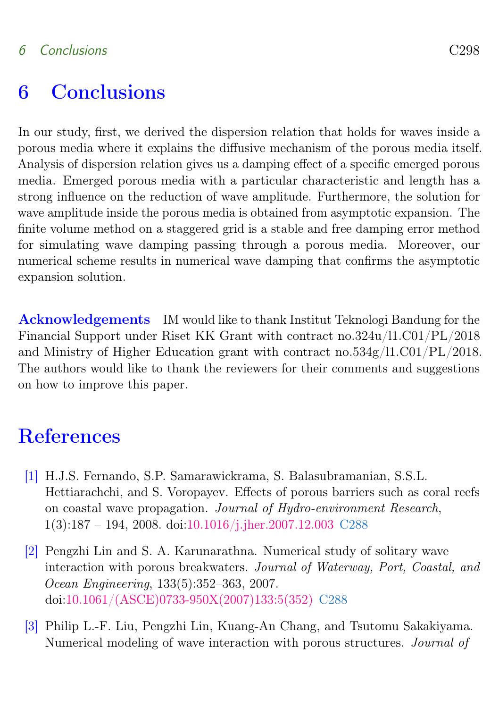#### 6 Conclusions C298

## 6 Conclusions

In our study, first, we derived the dispersion relation that holds for waves inside a porous media where it explains the diffusive mechanism of the porous media itself. Analysis of dispersion relation gives us a damping effect of a specific emerged porous media. Emerged porous media with a particular characteristic and length has a strong influence on the reduction of wave amplitude. Furthermore, the solution for wave amplitude inside the porous media is obtained from asymptotic expansion. The finite volume method on a staggered grid is a stable and free damping error method for simulating wave damping passing through a porous media. Moreover, our numerical scheme results in numerical wave damping that confirms the asymptotic expansion solution.

Acknowledgements IM would like to thank Institut Teknologi Bandung for the Financial Support under Riset KK Grant with contract no.324u/l1.C01/PL/2018 and Ministry of Higher Education grant with contract no.534g/l1.C01/PL/2018. The authors would like to thank the reviewers for their comments and suggestions on how to improve this paper.

## <span id="page-11-0"></span>**References**

- <span id="page-11-1"></span>[1] H.J.S. Fernando, S.P. Samarawickrama, S. Balasubramanian, S.S.L. Hettiarachchi, and S. Voropayev. Effects of porous barriers such as coral reefs on coastal wave propagation. Journal of Hydro-environment Research, 1(3):187 – 194, 2008. doi[:10.1016/j.jher.2007.12.003](https://doi.org/10.1016/j.jher.2007.12.003) [C288](#page-1-1)
- <span id="page-11-2"></span>[2] Pengzhi Lin and S. A. Karunarathna. Numerical study of solitary wave interaction with porous breakwaters. Journal of Waterway, Port, Coastal, and Ocean Engineering, 133(5):352–363, 2007. doi[:10.1061/\(ASCE\)0733-950X\(2007\)133:5\(352\)](https://doi.org/10.1061/(ASCE)0733-950X(2007)133:5(352)) [C288](#page-1-1)
- <span id="page-11-3"></span>[3] Philip L.-F. Liu, Pengzhi Lin, Kuang-An Chang, and Tsutomu Sakakiyama. Numerical modeling of wave interaction with porous structures. Journal of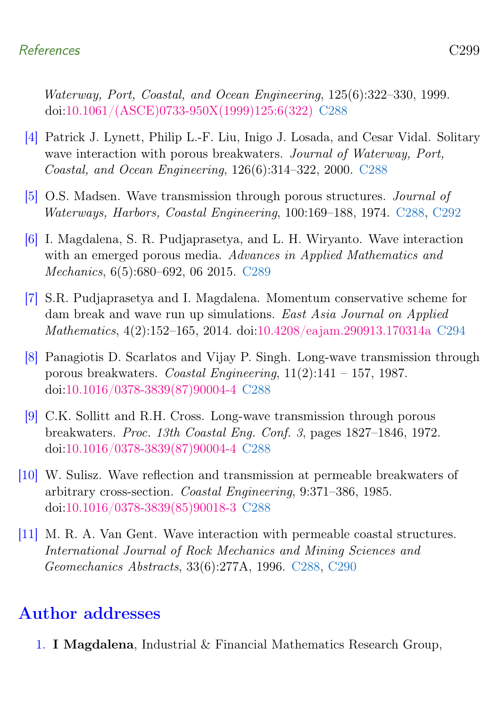#### References C299

Waterway, Port, Coastal, and Ocean Engineering, 125(6):322–330, 1999. doi[:10.1061/\(ASCE\)0733-950X\(1999\)125:6\(322\)](https://doi.org/10.1061/(ASCE)0733-950X(1999)125:6(322)) [C288](#page-1-1)

- <span id="page-12-5"></span>[4] Patrick J. Lynett, Philip L.-F. Liu, Inigo J. Losada, and Cesar Vidal. Solitary wave interaction with porous breakwaters. Journal of Waterway, Port, Coastal, and Ocean Engineering, 126(6):314–322, 2000. [C288](#page-1-1)
- <span id="page-12-2"></span>[5] O.S. Madsen. Wave transmission through porous structures. Journal of Waterways, Harbors, Coastal Engineering, 100:169–188, 1974. [C288,](#page-1-1) [C292](#page-5-2)
- <span id="page-12-7"></span>[6] I. Magdalena, S. R. Pudjaprasetya, and L. H. Wiryanto. Wave interaction with an emerged porous media. Advances in Applied Mathematics and Mechanics, 6(5):680–692, 06 2015. [C289](#page-2-1)
- <span id="page-12-8"></span>[7] S.R. Pudjaprasetya and I. Magdalena. Momentum conservative scheme for dam break and wave run up simulations. East Asia Journal on Applied Mathematics, 4(2):152–165, 2014. doi[:10.4208/eajam.290913.170314a](https://doi.org/10.4208/eajam.290913.170314a) [C294](#page-7-1)
- <span id="page-12-6"></span>[8] Panagiotis D. Scarlatos and Vijay P. Singh. Long-wave transmission through porous breakwaters. Coastal Engineering,  $11(2):141 - 157$ , 1987. doi[:10.1016/0378-3839\(87\)90004-4](https://doi.org/10.1016/0378-3839(87)90004-4) [C288](#page-1-1)
- <span id="page-12-1"></span>[9] C.K. Sollitt and R.H. Cross. Long-wave transmission through porous breakwaters. Proc. 13th Coastal Eng. Conf. 3, pages 1827–1846, 1972. doi[:10.1016/0378-3839\(87\)90004-4](https://doi.org/10.1016/0378-3839(87)90004-4) [C288](#page-1-1)
- <span id="page-12-3"></span>[10] W. Sulisz. Wave reflection and transmission at permeable breakwaters of arbitrary cross-section. Coastal Engineering, 9:371–386, 1985. doi[:10.1016/0378-3839\(85\)90018-3](https://doi.org/10.1016/0378-3839(85)90018-3) [C288](#page-1-1)
- <span id="page-12-4"></span>[11] M. R. A. Van Gent. Wave interaction with permeable coastal structures. International Journal of Rock Mechanics and Mining Sciences and Geomechanics Abstracts, 33(6):277A, 1996. [C288,](#page-1-1) [C290](#page-3-1)

## Author addresses

<span id="page-12-0"></span>1. I Magdalena, Industrial & Financial Mathematics Research Group,